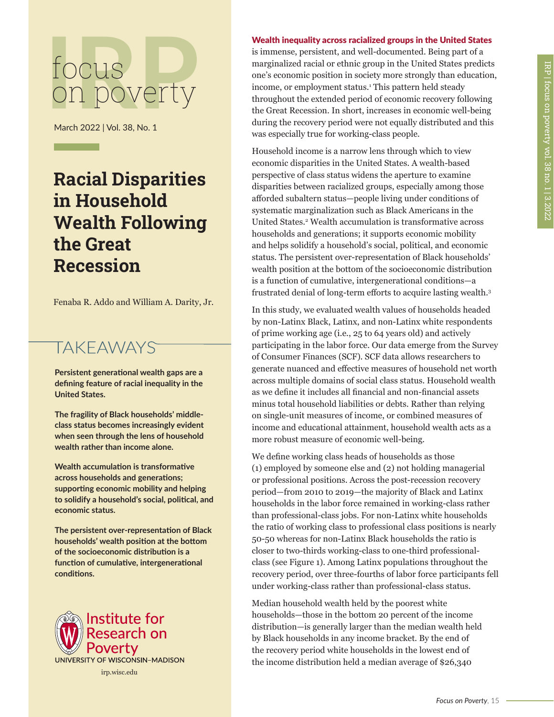## focus<br>
On poverty on poverty

March 2022 | Vol. 38, No. 1

## **Racial Disparities in Household Wealth Following the Great Recession**

Fenaba R. Addo and William A. Darity, Jr.

## **TAKEAWAYS**

**Persistent generational wealth gaps are a defining feature of racial inequality in the United States.** 

**The fragility of Black households' middleclass status becomes increasingly evident when seen through the lens of household wealth rather than income alone.**

**Wealth accumulation is transformative across households and generations; supporting economic mobility and helping to solidify a household's social, political, and economic status.** 

**The persistent over-representation of Black households' wealth position at the bottom of the socioeconomic distribution is a function of cumulative, intergenerational conditions.**



## Wealth inequality across racialized groups in the United States

is immense, persistent, and well-documented. Being part of a marginalized racial or ethnic group in the United States predicts one's economic position in society more strongly than education, income, or employment status.1 This pattern held steady throughout the extended period of economic recovery following the Great Recession. In short, increases in economic well-being during the recovery period were not equally distributed and this was especially true for working-class people.

Household income is a narrow lens through which to view economic disparities in the United States. A wealth-based perspective of class status widens the aperture to examine disparities between racialized groups, especially among those afforded subaltern status—people living under conditions of systematic marginalization such as Black Americans in the United States.<sup>2</sup> Wealth accumulation is transformative across households and generations; it supports economic mobility and helps solidify a household's social, political, and economic status. The persistent over-representation of Black households' wealth position at the bottom of the socioeconomic distribution is a function of cumulative, intergenerational conditions—a frustrated denial of long-term efforts to acquire lasting wealth.3

In this study, we evaluated wealth values of households headed by non-Latinx Black, Latinx, and non-Latinx white respondents of prime working age (i.e., 25 to 64 years old) and actively participating in the labor force. Our data emerge from the Survey of Consumer Finances (SCF). SCF data allows researchers to generate nuanced and effective measures of household net worth across multiple domains of social class status. Household wealth as we define it includes all financial and non-financial assets minus total household liabilities or debts. Rather than relying on single-unit measures of income, or combined measures of income and educational attainment, household wealth acts as a more robust measure of economic well-being.

We define working class heads of households as those (1) employed by someone else and (2) not holding managerial or professional positions. Across the post-recession recovery period—from 2010 to 2019—the majority of Black and Latinx households in the labor force remained in working-class rather than professional-class jobs. For non-Latinx white households the ratio of working class to professional class positions is nearly 50-50 whereas for non-Latinx Black households the ratio is closer to two-thirds working-class to one-third professionalclass (see Figure 1). Among Latinx populations throughout the recovery period, over three-fourths of labor force participants fell under working-class rather than professional-class status.

Median household wealth held by the poorest white households—those in the bottom 20 percent of the income distribution—is generally larger than the median wealth held by Black households in any income bracket. By the end of the recovery period white households in the lowest end of the income distribution held a median average of \$26,340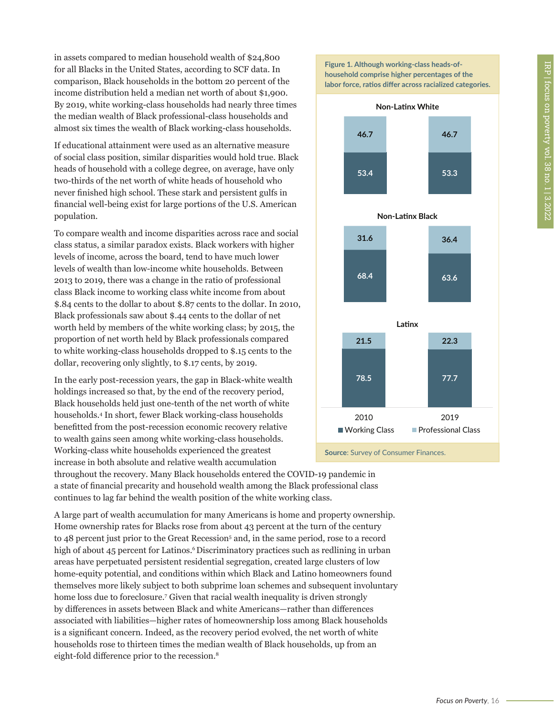in assets compared to median household wealth of \$24,800 for all Blacks in the United States, according to SCF data. In comparison, Black households in the bottom 20 percent of the income distribution held a median net worth of about \$1,900. By 2019, white working-class households had nearly three times the median wealth of Black professional-class households and almost six times the wealth of Black working-class households.

If educational attainment were used as an alternative measure of social class position, similar disparities would hold true. Black heads of household with a college degree, on average, have only two-thirds of the net worth of white heads of household who never finished high school. These stark and persistent gulfs in financial well-being exist for large portions of the U.S. American population.

To compare wealth and income disparities across race and social class status, a similar paradox exists. Black workers with higher levels of income, across the board, tend to have much lower levels of wealth than low-income white households. Between 2013 to 2019, there was a change in the ratio of professional class Black income to working class white income from about \$.84 cents to the dollar to about \$.87 cents to the dollar. In 2010, Black professionals saw about \$.44 cents to the dollar of net worth held by members of the white working class; by 2015, the proportion of net worth held by Black professionals compared to white working-class households dropped to \$.15 cents to the dollar, recovering only slightly, to \$.17 cents, by 2019.

In the early post-recession years, the gap in Black-white wealth holdings increased so that, by the end of the recovery period, Black households held just one-tenth of the net worth of white households.4 In short, fewer Black working-class households benefitted from the post-recession economic recovery relative to wealth gains seen among white working-class households. Working-class white households experienced the greatest increase in both absolute and relative wealth accumulation



A large part of wealth accumulation for many Americans is home and property ownership. Home ownership rates for Blacks rose from about 43 percent at the turn of the century to 48 percent just prior to the Great Recession<sup>5</sup> and, in the same period, rose to a record high of about 45 percent for Latinos.<sup>6</sup>Discriminatory practices such as redlining in urban areas have perpetuated persistent residential segregation, created large clusters of low home-equity potential, and conditions within which Black and Latino homeowners found themselves more likely subject to both subprime loan schemes and subsequent involuntary home loss due to foreclosure.7 Given that racial wealth inequality is driven strongly by differences in assets between Black and white Americans—rather than differences associated with liabilities—higher rates of homeownership loss among Black households is a significant concern. Indeed, as the recovery period evolved, the net worth of white households rose to thirteen times the median wealth of Black households, up from an eight-fold difference prior to the recession.8





**Source**: Survey of Consumer Finances.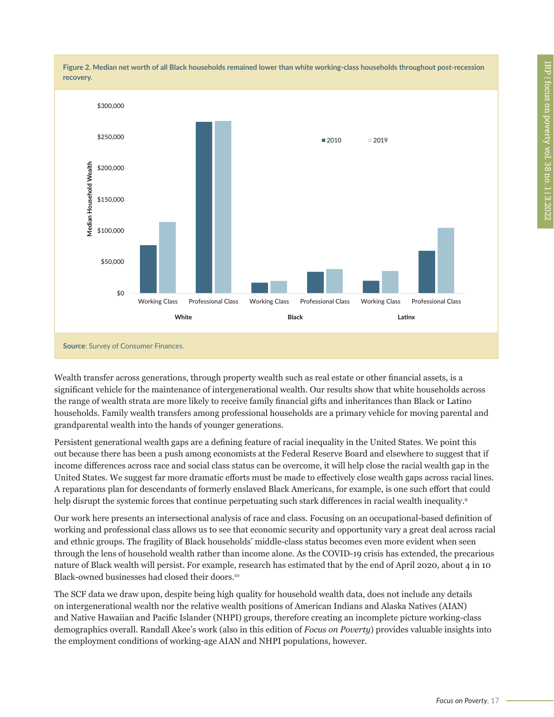

Wealth transfer across generations, through property wealth such as real estate or other financial assets, is a significant vehicle for the maintenance of intergenerational wealth. Our results show that white households across the range of wealth strata are more likely to receive family financial gifts and inheritances than Black or Latino households. Family wealth transfers among professional households are a primary vehicle for moving parental and grandparental wealth into the hands of younger generations.

Persistent generational wealth gaps are a defining feature of racial inequality in the United States. We point this out because there has been a push among economists at the Federal Reserve Board and elsewhere to suggest that if income differences across race and social class status can be overcome, it will help close the racial wealth gap in the United States. We suggest far more dramatic efforts must be made to effectively close wealth gaps across racial lines. A reparations plan for descendants of formerly enslaved Black Americans, for example, is one such effort that could help disrupt the systemic forces that continue perpetuating such stark differences in racial wealth inequality.<sup>9</sup>

Our work here presents an intersectional analysis of race and class. Focusing on an occupational-based definition of working and professional class allows us to see that economic security and opportunity vary a great deal across racial and ethnic groups. The fragility of Black households' middle-class status becomes even more evident when seen through the lens of household wealth rather than income alone. As the COVID-19 crisis has extended, the precarious nature of Black wealth will persist. For example, research has estimated that by the end of April 2020, about 4 in 10 Black-owned businesses had closed their doors.10

The SCF data we draw upon, despite being high quality for household wealth data, does not include any details on intergenerational wealth nor the relative wealth positions of American Indians and Alaska Natives (AIAN) and Native Hawaiian and Pacific Islander (NHPI) groups, therefore creating an incomplete picture working-class demographics overall. Randall Akee's work (also in this edition of *Focus on Poverty*) provides valuable insights into the employment conditions of working-age AIAN and NHPI populations, however.